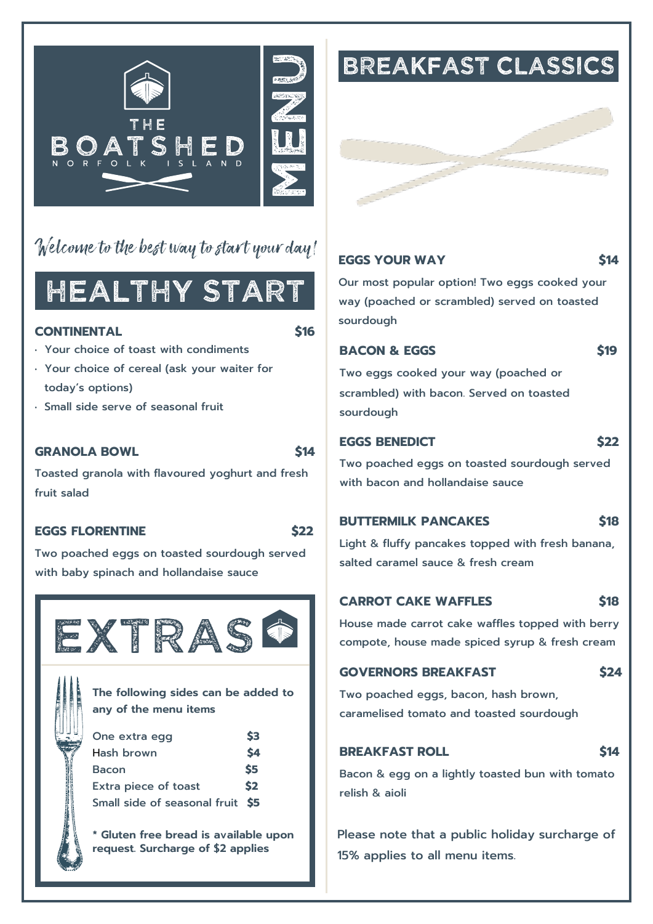

### Welcome to the best way to start your day!

## HEALTHY START

#### **CONTINENTAL \$16**

- Your choice of toast with condiments
- Your choice of cereal (ask your waiter for today's options)
- Small side serve of seasonal fruit

#### **GRANOLA BOWL \$14**

Toasted granola with flavoured yoghurt and fresh fruit salad

#### **EGGS FLORENTINE \$22**

Two poached eggs on toasted sourdough served with baby spinach and hollandaise sauce



**The following sides can be added to any of the menu items**

| One extra egg                    | \$3 |
|----------------------------------|-----|
| Hash brown                       | \$4 |
| <b>Bacon</b>                     | \$5 |
| Extra piece of toast             | \$2 |
| Small side of seasonal fruit \$5 |     |

**\* Gluten free bread is available upon request. Surcharge of \$2 applies**

## **BREAKFAST CLASSICS**

#### **EGGS YOUR WAY \$14**

Our most popular option! Two eggs cooked your way (poached or scrambled) served on toasted sourdough

#### **BACON & EGGS** \$19

Two eggs cooked your way (poached or scrambled) with bacon. Served on toasted sourdough

#### **EGGS BENEDICT \$22**

Two poached eggs on toasted sourdough served with bacon and hollandaise sauce

#### **BUTTERMILK PANCAKES \$18**

Light & fluffy pancakes topped with fresh banana, salted caramel sauce & fresh cream

#### **CARROT CAKE WAFFLES \$18**

House made carrot cake waffles topped with berry compote, house made spiced syrup & fresh cream

#### **GOVERNORS BREAKFAST \$24**

Two poached eggs, bacon, hash brown, caramelised tomato and toasted sourdough

#### **BREAKFAST ROLL \$14**

Bacon & egg on a lightly toasted bun with tomato relish & aioli

Please note that a public holiday surcharge of 15% applies to all menu items.